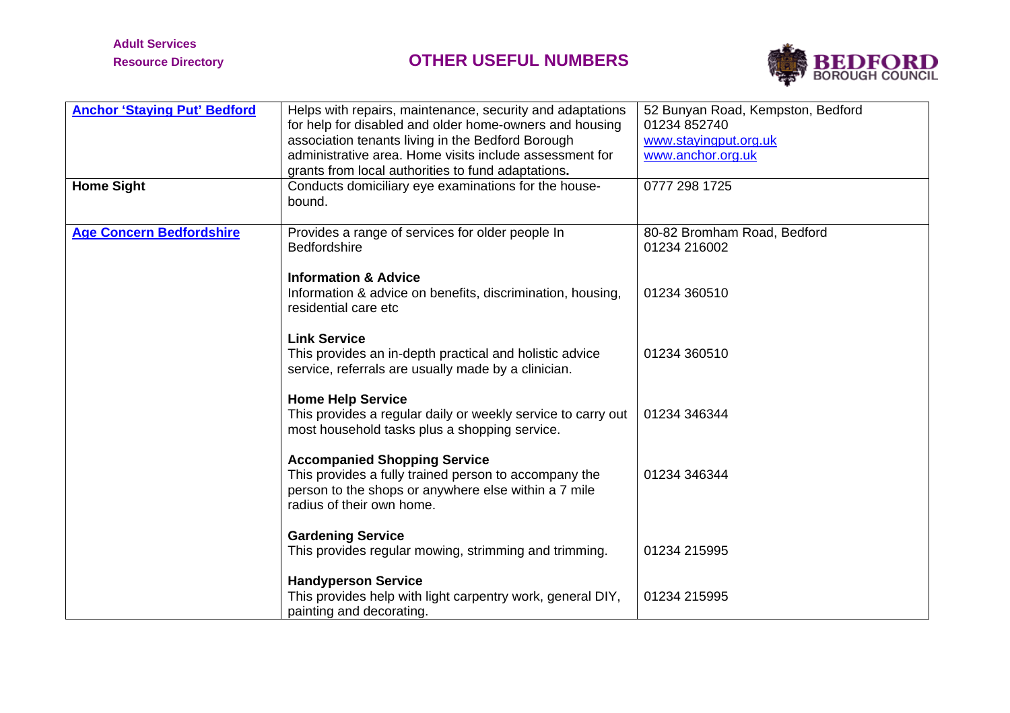

| <b>Anchor 'Staying Put' Bedford</b> | Helps with repairs, maintenance, security and adaptations<br>for help for disabled and older home-owners and housing<br>association tenants living in the Bedford Borough<br>administrative area. Home visits include assessment for<br>grants from local authorities to fund adaptations. | 52 Bunyan Road, Kempston, Bedford<br>01234 852740<br>www.stayingput.org.uk<br>www.anchor.org.uk |
|-------------------------------------|--------------------------------------------------------------------------------------------------------------------------------------------------------------------------------------------------------------------------------------------------------------------------------------------|-------------------------------------------------------------------------------------------------|
| <b>Home Sight</b>                   | Conducts domiciliary eye examinations for the house-<br>bound.                                                                                                                                                                                                                             | 0777 298 1725                                                                                   |
| <b>Age Concern Bedfordshire</b>     | Provides a range of services for older people In<br>Bedfordshire                                                                                                                                                                                                                           | 80-82 Bromham Road, Bedford<br>01234 216002                                                     |
|                                     | <b>Information &amp; Advice</b><br>Information & advice on benefits, discrimination, housing,<br>residential care etc                                                                                                                                                                      | 01234 360510                                                                                    |
|                                     | <b>Link Service</b><br>This provides an in-depth practical and holistic advice<br>service, referrals are usually made by a clinician.                                                                                                                                                      | 01234 360510                                                                                    |
|                                     | <b>Home Help Service</b><br>This provides a regular daily or weekly service to carry out<br>most household tasks plus a shopping service.                                                                                                                                                  | 01234 346344                                                                                    |
|                                     | <b>Accompanied Shopping Service</b><br>This provides a fully trained person to accompany the<br>person to the shops or anywhere else within a 7 mile<br>radius of their own home.                                                                                                          | 01234 346344                                                                                    |
|                                     | <b>Gardening Service</b><br>This provides regular mowing, strimming and trimming.                                                                                                                                                                                                          | 01234 215995                                                                                    |
|                                     | <b>Handyperson Service</b><br>This provides help with light carpentry work, general DIY,<br>painting and decorating.                                                                                                                                                                       | 01234 215995                                                                                    |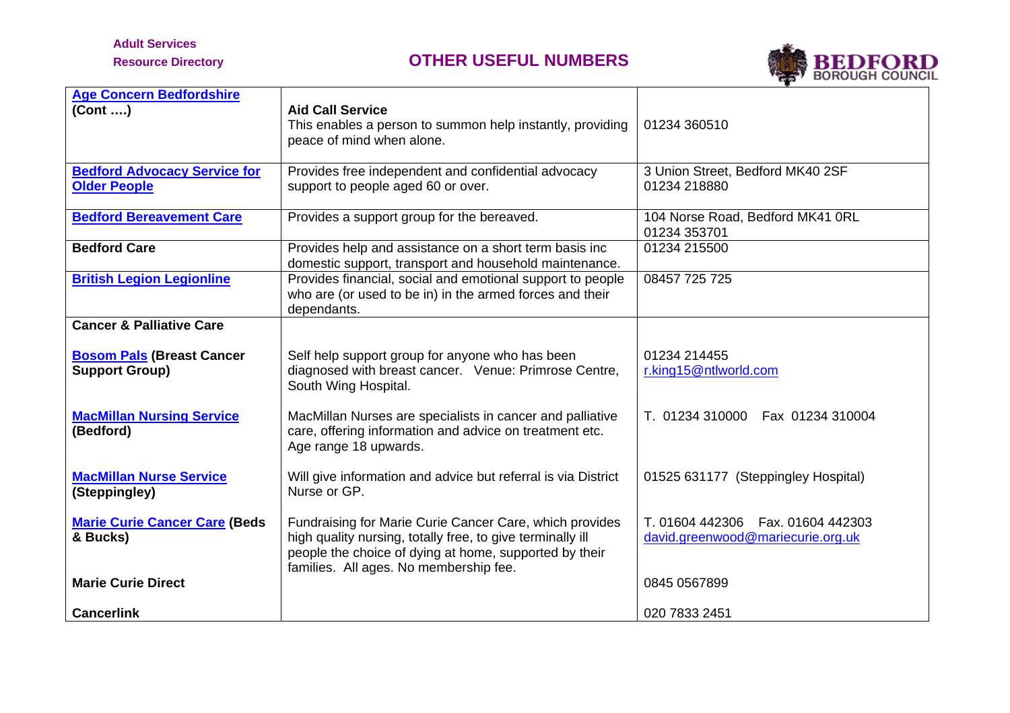# **Adult Services**



| <b>Age Concern Bedfordshire</b><br>(Cont )                 | <b>Aid Call Service</b><br>This enables a person to summon help instantly, providing<br>peace of mind when alone.                                                                                                         | 01234 360510                                                              |
|------------------------------------------------------------|---------------------------------------------------------------------------------------------------------------------------------------------------------------------------------------------------------------------------|---------------------------------------------------------------------------|
| <b>Bedford Advocacy Service for</b><br><b>Older People</b> | Provides free independent and confidential advocacy<br>support to people aged 60 or over.                                                                                                                                 | 3 Union Street, Bedford MK40 2SF<br>01234 218880                          |
| <b>Bedford Bereavement Care</b>                            | Provides a support group for the bereaved.                                                                                                                                                                                | 104 Norse Road, Bedford MK41 ORL<br>01234 353701                          |
| <b>Bedford Care</b>                                        | Provides help and assistance on a short term basis inc<br>domestic support, transport and household maintenance.                                                                                                          | 01234 215500                                                              |
| <b>British Legion Legionline</b>                           | Provides financial, social and emotional support to people<br>who are (or used to be in) in the armed forces and their<br>dependants.                                                                                     | 08457 725 725                                                             |
| <b>Cancer &amp; Palliative Care</b>                        |                                                                                                                                                                                                                           |                                                                           |
| <b>Bosom Pals (Breast Cancer</b><br><b>Support Group)</b>  | Self help support group for anyone who has been<br>diagnosed with breast cancer. Venue: Primrose Centre,<br>South Wing Hospital.                                                                                          | 01234 214455<br>r.king15@ntlworld.com                                     |
| <b>MacMillan Nursing Service</b><br>(Bedford)              | MacMillan Nurses are specialists in cancer and palliative<br>care, offering information and advice on treatment etc.<br>Age range 18 upwards.                                                                             | T. 01234 310000  Fax 01234 310004                                         |
| <b>MacMillan Nurse Service</b><br>(Steppingley)            | Will give information and advice but referral is via District<br>Nurse or GP.                                                                                                                                             | 01525 631177 (Steppingley Hospital)                                       |
| <b>Marie Curie Cancer Care (Beds</b><br>& Bucks)           | Fundraising for Marie Curie Cancer Care, which provides<br>high quality nursing, totally free, to give terminally ill<br>people the choice of dying at home, supported by their<br>families. All ages. No membership fee. | T. 01604 442306<br>Fax. 01604 442303<br>david.greenwood@mariecurie.org.uk |
| <b>Marie Curie Direct</b>                                  |                                                                                                                                                                                                                           | 0845 0567899                                                              |
| <b>Cancerlink</b>                                          |                                                                                                                                                                                                                           | 020 7833 2451                                                             |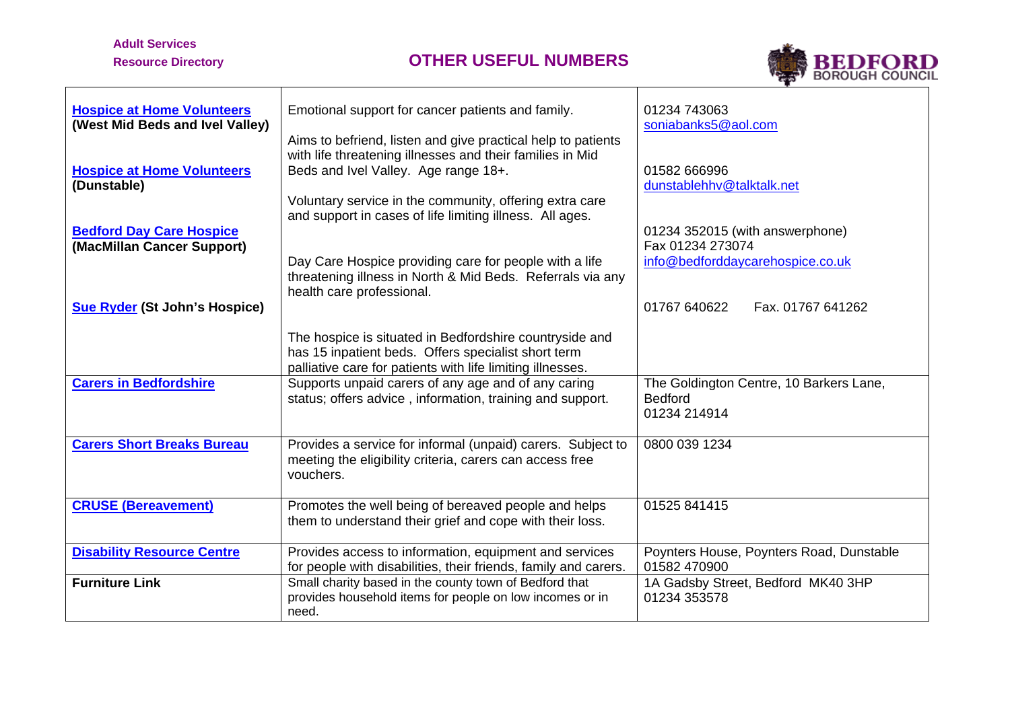## **Adult Services**

 $\mathbf{r}$ 



| <b>Hospice at Home Volunteers</b><br>(West Mid Beds and Ivel Valley) | Emotional support for cancer patients and family.                                                                                                                            | 01234 743063<br>soniabanks5@aol.com                                       |
|----------------------------------------------------------------------|------------------------------------------------------------------------------------------------------------------------------------------------------------------------------|---------------------------------------------------------------------------|
|                                                                      | Aims to befriend, listen and give practical help to patients<br>with life threatening illnesses and their families in Mid                                                    |                                                                           |
| <b>Hospice at Home Volunteers</b>                                    | Beds and Ivel Valley. Age range 18+.                                                                                                                                         | 01582 666996                                                              |
| (Dunstable)                                                          | Voluntary service in the community, offering extra care                                                                                                                      | dunstablehhv@talktalk.net                                                 |
| <b>Bedford Day Care Hospice</b><br>(MacMillan Cancer Support)        | and support in cases of life limiting illness. All ages.                                                                                                                     | 01234 352015 (with answerphone)<br>Fax 01234 273074                       |
|                                                                      | Day Care Hospice providing care for people with a life<br>threatening illness in North & Mid Beds. Referrals via any                                                         | info@bedforddaycarehospice.co.uk                                          |
|                                                                      | health care professional.                                                                                                                                                    |                                                                           |
| <b>Sue Ryder (St John's Hospice)</b>                                 |                                                                                                                                                                              | 01767 640622<br>Fax. 01767 641262                                         |
|                                                                      | The hospice is situated in Bedfordshire countryside and<br>has 15 inpatient beds. Offers specialist short term<br>palliative care for patients with life limiting illnesses. |                                                                           |
| <b>Carers in Bedfordshire</b>                                        | Supports unpaid carers of any age and of any caring<br>status; offers advice, information, training and support.                                                             | The Goldington Centre, 10 Barkers Lane,<br><b>Bedford</b><br>01234 214914 |
| <b>Carers Short Breaks Bureau</b>                                    | Provides a service for informal (unpaid) carers. Subject to<br>meeting the eligibility criteria, carers can access free<br>vouchers.                                         | 0800 039 1234                                                             |
| <b>CRUSE (Bereavement)</b>                                           | Promotes the well being of bereaved people and helps<br>them to understand their grief and cope with their loss.                                                             | 01525 841415                                                              |
| <b>Disability Resource Centre</b>                                    | Provides access to information, equipment and services<br>for people with disabilities, their friends, family and carers.                                                    | Poynters House, Poynters Road, Dunstable<br>01582 470900                  |
| <b>Furniture Link</b>                                                | Small charity based in the county town of Bedford that<br>provides household items for people on low incomes or in<br>need.                                                  | 1A Gadsby Street, Bedford MK40 3HP<br>01234 353578                        |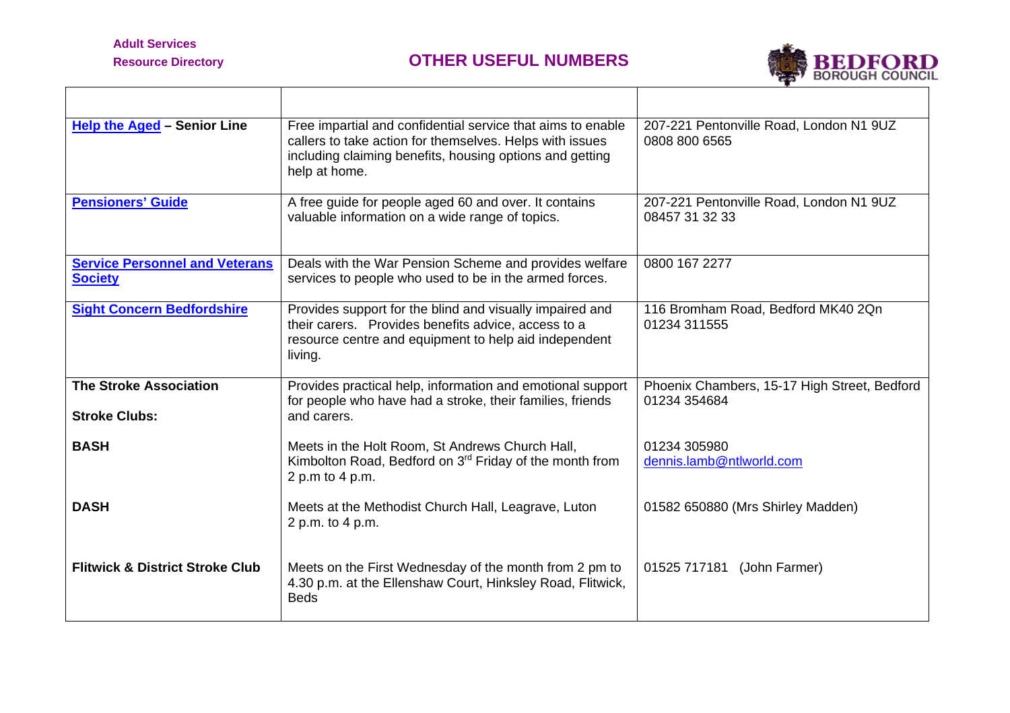$\mathbf{r}$ 



| <b>Help the Aged - Senior Line</b>                      | Free impartial and confidential service that aims to enable<br>callers to take action for themselves. Helps with issues<br>including claiming benefits, housing options and getting<br>help at home. | 207-221 Pentonville Road, London N1 9UZ<br>0808 800 6565     |
|---------------------------------------------------------|------------------------------------------------------------------------------------------------------------------------------------------------------------------------------------------------------|--------------------------------------------------------------|
| <b>Pensioners' Guide</b>                                | A free guide for people aged 60 and over. It contains<br>valuable information on a wide range of topics.                                                                                             | 207-221 Pentonville Road, London N1 9UZ<br>08457 31 32 33    |
| <b>Service Personnel and Veterans</b><br><b>Society</b> | Deals with the War Pension Scheme and provides welfare<br>services to people who used to be in the armed forces.                                                                                     | 0800 167 2277                                                |
| <b>Sight Concern Bedfordshire</b>                       | Provides support for the blind and visually impaired and<br>their carers. Provides benefits advice, access to a<br>resource centre and equipment to help aid independent<br>living.                  | 116 Bromham Road, Bedford MK40 2Qn<br>01234 311555           |
| <b>The Stroke Association</b><br><b>Stroke Clubs:</b>   | Provides practical help, information and emotional support<br>for people who have had a stroke, their families, friends<br>and carers.                                                               | Phoenix Chambers, 15-17 High Street, Bedford<br>01234 354684 |
| <b>BASH</b>                                             | Meets in the Holt Room, St Andrews Church Hall,<br>Kimbolton Road, Bedford on 3 <sup>rd</sup> Friday of the month from<br>2 p.m to 4 p.m.                                                            | 01234 305980<br>dennis.lamb@ntlworld.com                     |
| <b>DASH</b>                                             | Meets at the Methodist Church Hall, Leagrave, Luton<br>2 p.m. to 4 p.m.                                                                                                                              | 01582 650880 (Mrs Shirley Madden)                            |
| <b>Flitwick &amp; District Stroke Club</b>              | Meets on the First Wednesday of the month from 2 pm to<br>4.30 p.m. at the Ellenshaw Court, Hinksley Road, Flitwick,<br><b>Beds</b>                                                                  | 01525 717181 (John Farmer)                                   |